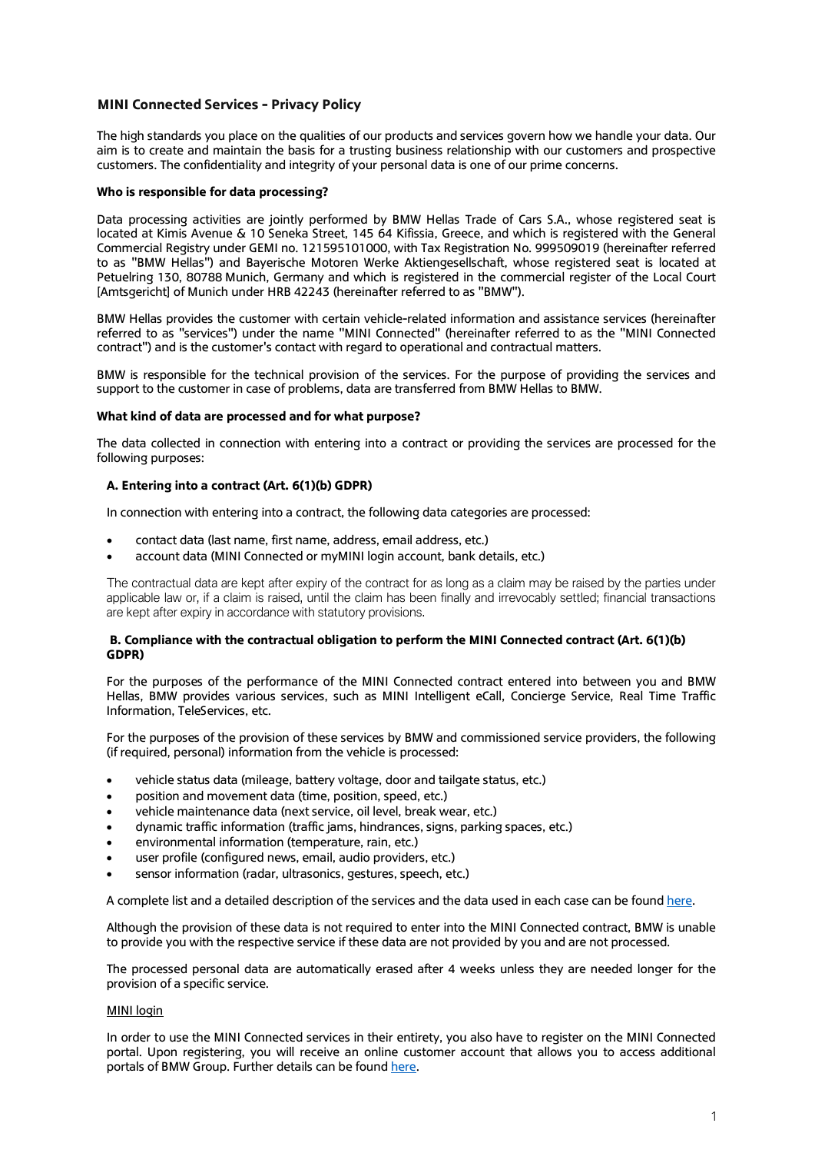## **MINI Connected Services - Privacy Policy**

The high standards you place on the qualities of our products and services govern how we handle your data. Our aim is to create and maintain the basis for a trusting business relationship with our customers and prospective customers. The confidentiality and integrity of your personal data is one of our prime concerns.

## **Who is responsible for data processing?**

Data processing activities are jointly performed by BMW Hellas Trade of Cars S.A., whose registered seat is located at Kimis Avenue & 10 Seneka Street, 145 64 Kifissia, Greece, and which is registered with the General Commercial Registry under GEMI no. 121595101000, with Tax Registration No. 999509019 (hereinafter referred to as "BMW Hellas") and Bayerische Motoren Werke Aktiengesellschaft, whose registered seat is located at Petuelring 130, 80788 Munich, Germany and which is registered in the commercial register of the Local Court [Amtsgericht] of Munich under HRB 42243 (hereinafter referred to as "BMW").

BMW Hellas provides the customer with certain vehicle-related information and assistance services (hereinafter referred to as "services") under the name "MINI Connected" (hereinafter referred to as the "MINI Connected contract") and is the customer's contact with regard to operational and contractual matters.

BMW is responsible for the technical provision of the services. For the purpose of providing the services and support to the customer in case of problems, data are transferred from BMW Hellas to BMW.

### **What kind of data are processed and for what purpose?**

The data collected in connection with entering into a contract or providing the services are processed for the following purposes:

## **A. Entering into a contract (Art. 6(1)(b) GDPR)**

In connection with entering into a contract, the following data categories are processed:

- contact data (last name, first name, address, email address, etc.)
- account data (MINI Connected or myMINI login account, bank details, etc.)

The contractual data are kept after expiry of the contract for as long as a claim may be raised by the parties under applicable law or, if a claim is raised, until the claim has been finally and irrevocably settled; financial transactions are kept after expiry in accordance with statutory provisions.

## **B. Compliance with the contractual obligation to perform the MINI Connected contract (Art. 6(1)(b) GDPR)**

For the purposes of the performance of the MINI Connected contract entered into between you and BMW Hellas, BMW provides various services, such as MINI Intelligent eCall, Concierge Service, Real Time Traffic Information, TeleServices, etc.

For the purposes of the provision of these services by BMW and commissioned service providers, the following (if required, personal) information from the vehicle is processed:

- vehicle status data (mileage, battery voltage, door and tailgate status, etc.)
- position and movement data (time, position, speed, etc.)
- vehicle maintenance data (next service, oil level, break wear, etc.)
- dynamic traffic information (traffic jams, hindrances, signs, parking spaces, etc.)
- environmental information (temperature, rain, etc.)
- user profile (configured news, email, audio providers, etc.)
- sensor information (radar, ultrasonics, gestures, speech, etc.)

A complete list and a detailed description of the services and the data used in each case can be found [here.](https://btclegaldocumentcheckeu.bmwgroup.com/api/legaldocumentcheck/viewlatestdocument/cd_pp/mini/ios/row?locale=EN-GR)

Although the provision of these data is not required to enter into the MINI Connected contract, BMW is unable to provide you with the respective service if these data are not provided by you and are not processed.

The processed personal data are automatically erased after 4 weeks unless they are needed longer for the provision of a specific service.

### MINI login

In order to use the MINI Connected services in their entirety, you also have to register on the MINI Connected portal. Upon registering, you will receive an online customer account that allows you to access additional portals of BMW Group. Further details can be found [here.](https://www.mini-connected.com/)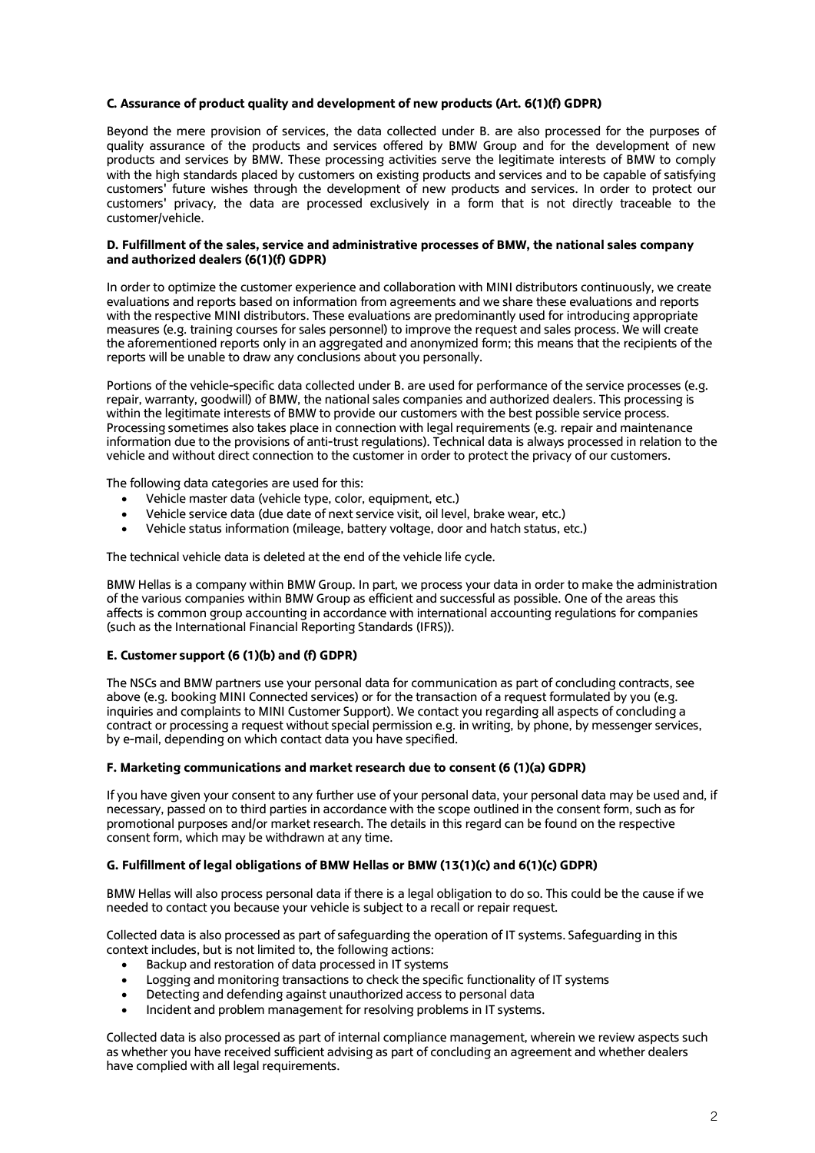## **C. Assurance of product quality and development of new products (Art. 6(1)(f) GDPR)**

Beyond the mere provision of services, the data collected under B. are also processed for the purposes of quality assurance of the products and services offered by BMW Group and for the development of new products and services by BMW. These processing activities serve the legitimate interests of BMW to comply with the high standards placed by customers on existing products and services and to be capable of satisfying customers' future wishes through the development of new products and services. In order to protect our customers' privacy, the data are processed exclusively in a form that is not directly traceable to the customer/vehicle.

### **D. Fulfillment of the sales, service and administrative processes of BMW, the national sales company and authorized dealers (6(1)(f) GDPR)**

In order to optimize the customer experience and collaboration with MINI distributors continuously, we create evaluations and reports based on information from agreements and we share these evaluations and reports with the respective MINI distributors. These evaluations are predominantly used for introducing appropriate measures (e.g. training courses for sales personnel) to improve the request and sales process. We will create the aforementioned reports only in an aggregated and anonymized form; this means that the recipients of the reports will be unable to draw any conclusions about you personally.

Portions of the vehicle-specific data collected under B. are used for performance of the service processes (e.g. repair, warranty, goodwill) of BMW, the national sales companies and authorized dealers. This processing is within the legitimate interests of BMW to provide our customers with the best possible service process. Processing sometimes also takes place in connection with legal requirements (e.g. repair and maintenance information due to the provisions of anti-trust regulations). Technical data is always processed in relation to the vehicle and without direct connection to the customer in order to protect the privacy of our customers.

The following data categories are used for this:

- Vehicle master data (vehicle type, color, equipment, etc.)
- Vehicle service data (due date of next service visit, oil level, brake wear, etc.)
- Vehicle status information (mileage, battery voltage, door and hatch status, etc.)

The technical vehicle data is deleted at the end of the vehicle life cycle.

BMW Hellas is a company within BMW Group. In part, we process your data in order to make the administration of the various companies within BMW Group as efficient and successful as possible. One of the areas this affects is common group accounting in accordance with international accounting regulations for companies (such as the International Financial Reporting Standards (IFRS)).

# **E. Customer support (6 (1)(b) and (f) GDPR)**

The NSCs and BMW partners use your personal data for communication as part of concluding contracts, see above (e.g. booking MINI Connected services) or for the transaction of a request formulated by you (e.g. inquiries and complaints to MINI Customer Support). We contact you regarding all aspects of concluding a contract or processing a request without special permission e.g. in writing, by phone, by messenger services, by e-mail, depending on which contact data you have specified.

### **F. Marketing communications and market research due to consent (6 (1)(a) GDPR)**

If you have given your consent to any further use of your personal data, your personal data may be used and, if necessary, passed on to third parties in accordance with the scope outlined in the consent form, such as for promotional purposes and/or market research. The details in this regard can be found on the respective consent form, which may be withdrawn at any time.

## **G. Fulfillment of legal obligations of BMW Hellas or BMW (13(1)(c) and 6(1)(c) GDPR)**

BMW Hellas will also process personal data if there is a legal obligation to do so. This could be the cause if we needed to contact you because your vehicle is subject to a recall or repair request.

Collected data is also processed as part of safeguarding the operation of IT systems. Safeguarding in this context includes, but is not limited to, the following actions:

- Backup and restoration of data processed in IT systems
- Logging and monitoring transactions to check the specific functionality of IT systems
- Detecting and defending against unauthorized access to personal data
- Incident and problem management for resolving problems in IT systems.

Collected data is also processed as part of internal compliance management, wherein we review aspects such as whether you have received sufficient advising as part of concluding an agreement and whether dealers have complied with all legal requirements.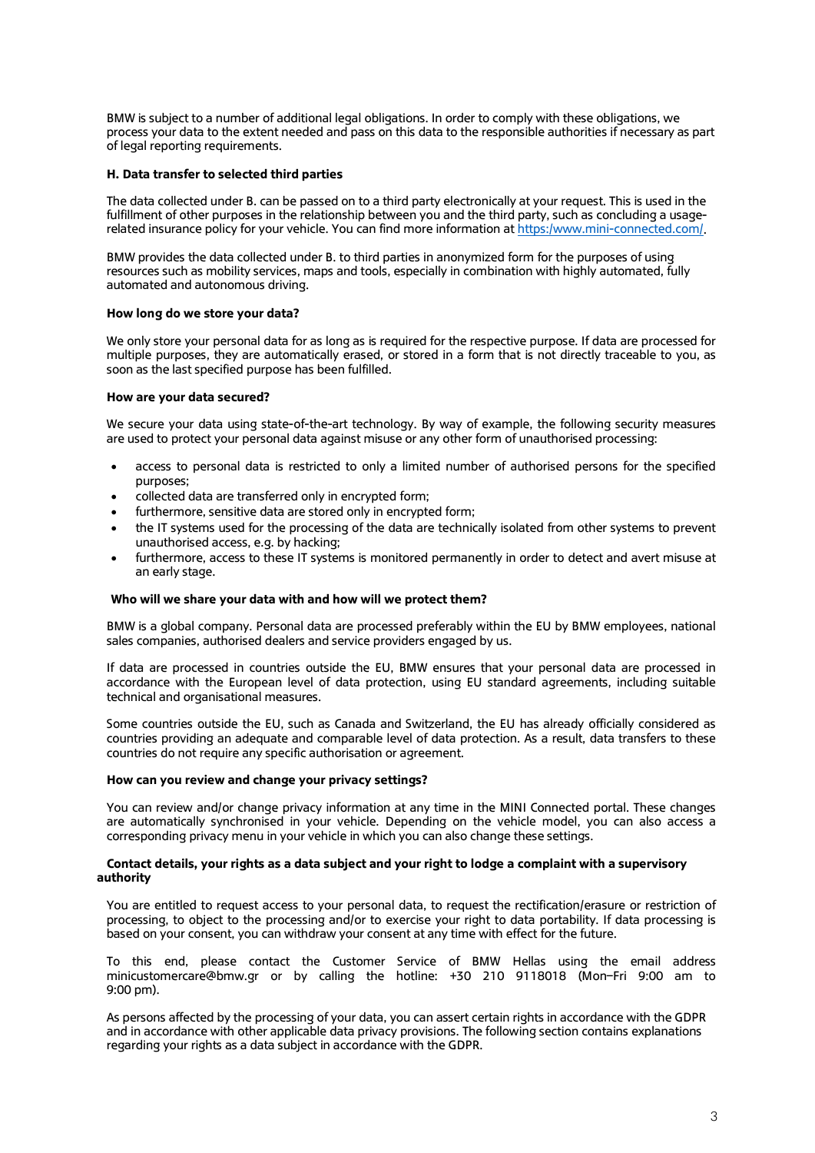BMW is subject to a number of additional legal obligations. In order to comply with these obligations, we process your data to the extent needed and pass on this data to the responsible authorities if necessary as part of legal reporting requirements.

### **H. Data transfer to selected third parties**

The data collected under B. can be passed on to a third party electronically at your request. This is used in the fulfillment of other purposes in the relationship between you and the third party, such as concluding a usagerelated insurance policy for your vehicle. You can find more information a[t https:/www.mini-connected.com/.](https://www.mini-connected.com/)

BMW provides the data collected under B. to third parties in anonymized form for the purposes of using resources such as mobility services, maps and tools, especially in combination with highly automated, fully automated and autonomous driving.

### **How long do we store your data?**

We only store your personal data for as long as is required for the respective purpose. If data are processed for multiple purposes, they are automatically erased, or stored in a form that is not directly traceable to you, as soon as the last specified purpose has been fulfilled.

### **How are your data secured?**

We secure your data using state-of-the-art technology. By way of example, the following security measures are used to protect your personal data against misuse or any other form of unauthorised processing:

- access to personal data is restricted to only a limited number of authorised persons for the specified purposes;
- collected data are transferred only in encrypted form;
- furthermore, sensitive data are stored only in encrypted form;
- the IT systems used for the processing of the data are technically isolated from other systems to prevent unauthorised access, e.g. by hacking;
- furthermore, access to these IT systems is monitored permanently in order to detect and avert misuse at an early stage.

### **Who will we share your data with and how will we protect them?**

BMW is a global company. Personal data are processed preferably within the EU by BMW employees, national sales companies, authorised dealers and service providers engaged by us.

If data are processed in countries outside the EU, BMW ensures that your personal data are processed in accordance with the European level of data protection, using EU standard agreements, including suitable technical and organisational measures.

Some countries outside the EU, such as Canada and Switzerland, the EU has already officially considered as countries providing an adequate and comparable level of data protection. As a result, data transfers to these countries do not require any specific authorisation or agreement.

### **How can you review and change your privacy settings?**

You can review and/or change privacy information at any time in the MINI Connected portal. These changes are automatically synchronised in your vehicle. Depending on the vehicle model, you can also access a corresponding privacy menu in your vehicle in which you can also change these settings.

### **Contact details, your rights as a data subject and your right to lodge a complaint with a supervisory authority**

You are entitled to request access to your personal data, to request the rectification/erasure or restriction of processing, to object to the processing and/or to exercise your right to data portability. If data processing is based on your consent, you can withdraw your consent at any time with effect for the future.

To this end, please contact the Customer Service of BMW Hellas using the email address [minicustomercare@bmw.gr](mailto:minicustomercare@bmw.gr) or by calling the hotline: +30 210 9118018 (Mon–Fri 9:00 am to 9:00 pm).

As persons affected by the processing of your data, you can assert certain rights in accordance with the GDPR and in accordance with other applicable data privacy provisions. The following section contains explanations regarding your rights as a data subject in accordance with the GDPR.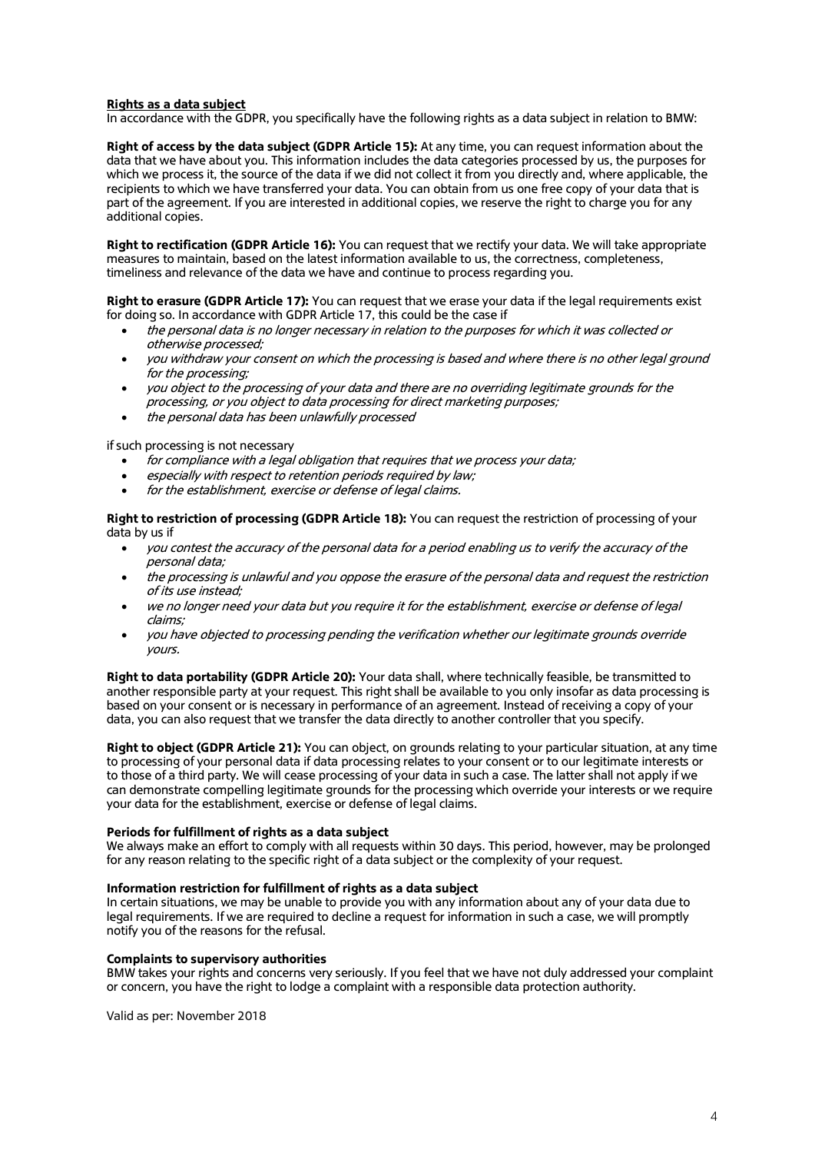## **Rights as a data subject**

In accordance with the GDPR, you specifically have the following rights as a data subject in relation to BMW:

**Right of access by the data subject (GDPR Article 15):** At any time, you can request information about the data that we have about you. This information includes the data categories processed by us, the purposes for which we process it, the source of the data if we did not collect it from you directly and, where applicable, the recipients to which we have transferred your data. You can obtain from us one free copy of your data that is part of the agreement. If you are interested in additional copies, we reserve the right to charge you for any additional copies.

**Right to rectification (GDPR Article 16):** You can request that we rectify your data. We will take appropriate measures to maintain, based on the latest information available to us, the correctness, completeness, timeliness and relevance of the data we have and continue to process regarding you.

**Right to erasure (GDPR Article 17):** You can request that we erase your data if the legal requirements exist for doing so. In accordance with GDPR Article 17, this could be the case if

- the personal data is no longer necessary in relation to the purposes for which it was collected or otherwise processed;
- you withdraw your consent on which the processing is based and where there is no other legal ground for the processing;
- you object to the processing of your data and there are no overriding legitimate grounds for the processing, or you object to data processing for direct marketing purposes;
- the personal data has been unlawfully processed

if such processing is not necessary

- for compliance with a legal obligation that requires that we process your data;
- especially with respect to retention periods required by law;
- for the establishment, exercise or defense of legal claims.

**Right to restriction of processing (GDPR Article 18):** You can request the restriction of processing of your data by us if

- you contest the accuracy of the personal data for a period enabling us to verify the accuracy of the personal data;
- the processing is unlawful and you oppose the erasure of the personal data and request the restriction of its use instead;
- we no longer need your data but you require it for the establishment, exercise or defense of legal claims;
- you have objected to processing pending the verification whether our legitimate grounds override yours.

**Right to data portability (GDPR Article 20):** Your data shall, where technically feasible, be transmitted to another responsible party at your request. This right shall be available to you only insofar as data processing is based on your consent or is necessary in performance of an agreement. Instead of receiving a copy of your data, you can also request that we transfer the data directly to another controller that you specify.

**Right to object (GDPR Article 21):** You can object, on grounds relating to your particular situation, at any time to processing of your personal data if data processing relates to your consent or to our legitimate interests or to those of a third party. We will cease processing of your data in such a case. The latter shall not apply if we can demonstrate compelling legitimate grounds for the processing which override your interests or we require your data for the establishment, exercise or defense of legal claims.

## **Periods for fulfillment of rights as a data subject**

We always make an effort to comply with all requests within 30 days. This period, however, may be prolonged for any reason relating to the specific right of a data subject or the complexity of your request.

#### **Information restriction for fulfillment of rights as a data subject**

In certain situations, we may be unable to provide you with any information about any of your data due to legal requirements. If we are required to decline a request for information in such a case, we will promptly notify you of the reasons for the refusal.

### **Complaints to supervisory authorities**

BMW takes your rights and concerns very seriously. If you feel that we have not duly addressed your complaint or concern, you have the right to lodge a complaint with a responsible data protection authority.

Valid as per: November 2018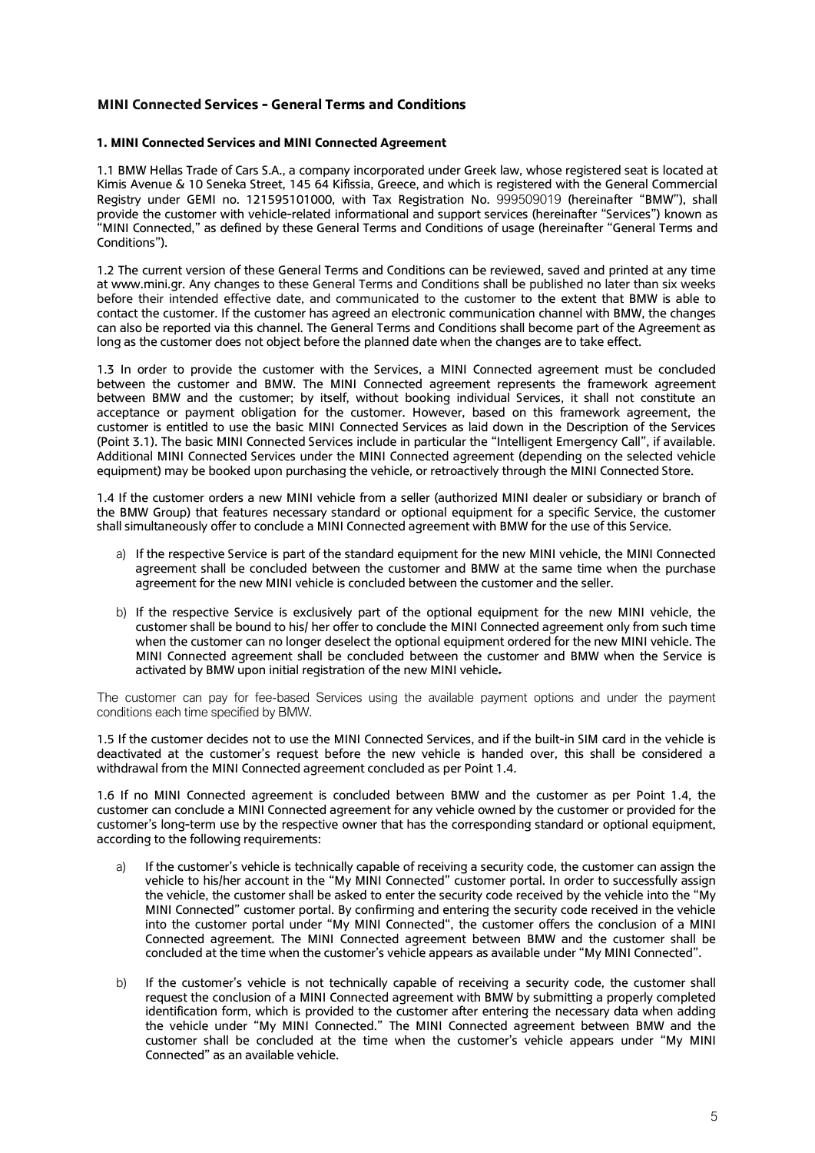# **MINI Connected Services - General Terms and Conditions**

## **1. MINI Connected Services and MINI Connected Agreement**

1.1 BMW Hellas Trade of Cars S.A., a company incorporated under Greek law, whose registered seat is located at Kimis Avenue & 10 Seneka Street, 145 64 Kifissia, Greece, and which is registered with the General Commercial Registry under GEMI no. 121595101000, with Tax Registration No. 999509019 (hereinafter "BMW"), shall provide the customer with vehicle-related informational and support services (hereinafter "Services") known as "MINI Connected," as defined by these General Terms and Conditions of usage (hereinafter "General Terms and Conditions").

1.2 The current version of these General Terms and Conditions can be reviewed, saved and printed at any time at www.mini.gr. Any changes to these General Terms and Conditions shall be published no later than six weeks before their intended effective date, and communicated to the customer to the extent that BMW is able to contact the customer. If the customer has agreed an electronic communication channel with BMW, the changes can also be reported via this channel. The General Terms and Conditions shall become part of the Agreement as long as the customer does not object before the planned date when the changes are to take effect.

1.3 In order to provide the customer with the Services, a MINI Connected agreement must be concluded between the customer and BMW. The MINI Connected agreement represents the framework agreement between BMW and the customer; by itself, without booking individual Services, it shall not constitute an acceptance or payment obligation for the customer. However, based on this framework agreement, the customer is entitled to use the basic MINI Connected Services as laid down in the Description of the Services (Point 3.1). The basic MINI Connected Services include in particular the "Intelligent Emergency Call", if available. Additional MINI Connected Services under the MINI Connected agreement (depending on the selected vehicle equipment) may be booked upon purchasing the vehicle, or retroactively through the MINI Connected Store.

1.4 If the customer orders a new MINI vehicle from a seller (authorized MINI dealer or subsidiary or branch of the BMW Group) that features necessary standard or optional equipment for a specific Service, the customer shall simultaneously offer to conclude a MINI Connected agreement with BMW for the use of this Service.

- a) If the respective Service is part of the standard equipment for the new MINI vehicle, the MINI Connected agreement shall be concluded between the customer and BMW at the same time when the purchase agreement for the new MINI vehicle is concluded between the customer and the seller.
- b) If the respective Service is exclusively part of the optional equipment for the new MINI vehicle, the customer shall be bound to his/ her offer to conclude the MINI Connected agreement only from such time when the customer can no longer deselect the optional equipment ordered for the new MINI vehicle. The MINI Connected agreement shall be concluded between the customer and BMW when the Service is activated by BMW upon initial registration of the new MINI vehicle.

The customer can pay for fee-based Services using the available payment options and under the payment conditions each time specified by BMW.

1.5 If the customer decides not to use the MINI Connected Services, and if the built-in SIM card in the vehicle is deactivated at the customer's request before the new vehicle is handed over, this shall be considered a withdrawal from the MINI Connected agreement concluded as per Point 1.4.

1.6 If no MINI Connected agreement is concluded between BMW and the customer as per Point 1.4, the customer can conclude a MINI Connected agreement for any vehicle owned by the customer or provided for the customer's long-term use by the respective owner that has the corresponding standard or optional equipment, according to the following requirements:

- a) If the customer's vehicle is technically capable of receiving a security code, the customer can assign the vehicle to his/her account in the "My MINI Connected" customer portal. In order to successfully assign the vehicle, the customer shall be asked to enter the security code received by the vehicle into the "My MINI Connected" customer portal. By confirming and entering the security code received in the vehicle into the customer portal under "My MINI Connected", the customer offers the conclusion of a MINI Connected agreement. The MINI Connected agreement between BMW and the customer shall be concluded at the time when the customer's vehicle appears as available under "My MINI Connected".
- b) If the customer's vehicle is not technically capable of receiving a security code, the customer shall request the conclusion of a MINI Connected agreement with BMW by submitting a properly completed identification form, which is provided to the customer after entering the necessary data when adding the vehicle under "My MINI Connected." The MINI Connected agreement between BMW and the customer shall be concluded at the time when the customer's vehicle appears under "My MINI Connected" as an available vehicle.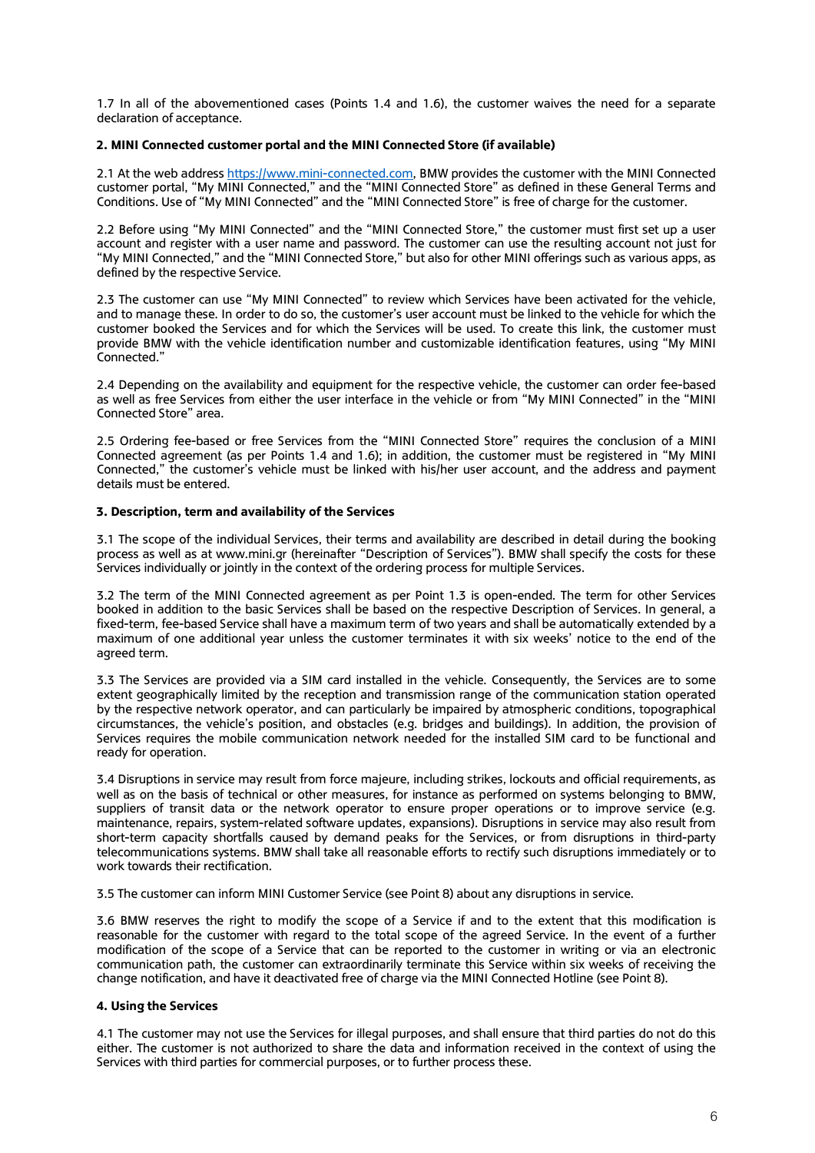1.7 In all of the abovementioned cases (Points 1.4 and 1.6), the customer waives the need for a separate declaration of acceptance.

## **2. MINI Connected customer portal and the MINI Connected Store (if available)**

2.1 At the web address [https://www.mini-connected.com,](https://www.mini-connected.com/) BMW provides the customer with the MINI Connected customer portal, "My MINI Connected," and the "MINI Connected Store" as defined in these General Terms and Conditions. Use of "My MINI Connected" and the "MINI Connected Store" is free of charge for the customer.

2.2 Before using "My MINI Connected" and the "MINI Connected Store," the customer must first set up a user account and register with a user name and password. The customer can use the resulting account not just for "My MINI Connected," and the "MINI Connected Store," but also for other MINI offerings such as various apps, as defined by the respective Service.

2.3 The customer can use "My MINI Connected" to review which Services have been activated for the vehicle, and to manage these. In order to do so, the customer's user account must be linked to the vehicle for which the customer booked the Services and for which the Services will be used. To create this link, the customer must provide BMW with the vehicle identification number and customizable identification features, using "My MINI Connected."

2.4 Depending on the availability and equipment for the respective vehicle, the customer can order fee-based as well as free Services from either the user interface in the vehicle or from "My MINI Connected" in the "MINI Connected Store" area.

2.5 Ordering fee-based or free Services from the "MINI Connected Store" requires the conclusion of a MINI Connected agreement (as per Points 1.4 and 1.6); in addition, the customer must be registered in "My MINI Connected," the customer's vehicle must be linked with his/her user account, and the address and payment details must be entered.

## **3. Description, term and availability of the Services**

3.1 The scope of the individual Services, their terms and availability are described in detail during the booking process as well as at www.mini.gr (hereinafter "Description of Services"). BMW shall specify the costs for these Services individually or jointly in the context of the ordering process for multiple Services.

3.2 The term of the MINI Connected agreement as per Point 1.3 is open-ended. The term for other Services booked in addition to the basic Services shall be based on the respective Description of Services. In general, a fixed-term, fee-based Service shall have a maximum term of two years and shall be automatically extended by a maximum of one additional year unless the customer terminates it with six weeks' notice to the end of the agreed term.

3.3 The Services are provided via a SIM card installed in the vehicle. Consequently, the Services are to some extent geographically limited by the reception and transmission range of the communication station operated by the respective network operator, and can particularly be impaired by atmospheric conditions, topographical circumstances, the vehicle's position, and obstacles (e.g. bridges and buildings). In addition, the provision of Services requires the mobile communication network needed for the installed SIM card to be functional and ready for operation.

3.4 Disruptions in service may result from force majeure, including strikes, lockouts and official requirements, as well as on the basis of technical or other measures, for instance as performed on systems belonging to BMW, suppliers of transit data or the network operator to ensure proper operations or to improve service (e.g. maintenance, repairs, system-related software updates, expansions). Disruptions in service may also result from short-term capacity shortfalls caused by demand peaks for the Services, or from disruptions in third-party telecommunications systems. BMW shall take all reasonable efforts to rectify such disruptions immediately or to work towards their rectification.

3.5 The customer can inform MINI Customer Service (see Point 8) about any disruptions in service.

3.6 BMW reserves the right to modify the scope of a Service if and to the extent that this modification is reasonable for the customer with regard to the total scope of the agreed Service. In the event of a further modification of the scope of a Service that can be reported to the customer in writing or via an electronic communication path, the customer can extraordinarily terminate this Service within six weeks of receiving the change notification, and have it deactivated free of charge via the MINI Connected Hotline (see Point 8).

### **4. Using the Services**

4.1 The customer may not use the Services for illegal purposes, and shall ensure that third parties do not do this either. The customer is not authorized to share the data and information received in the context of using the Services with third parties for commercial purposes, or to further process these.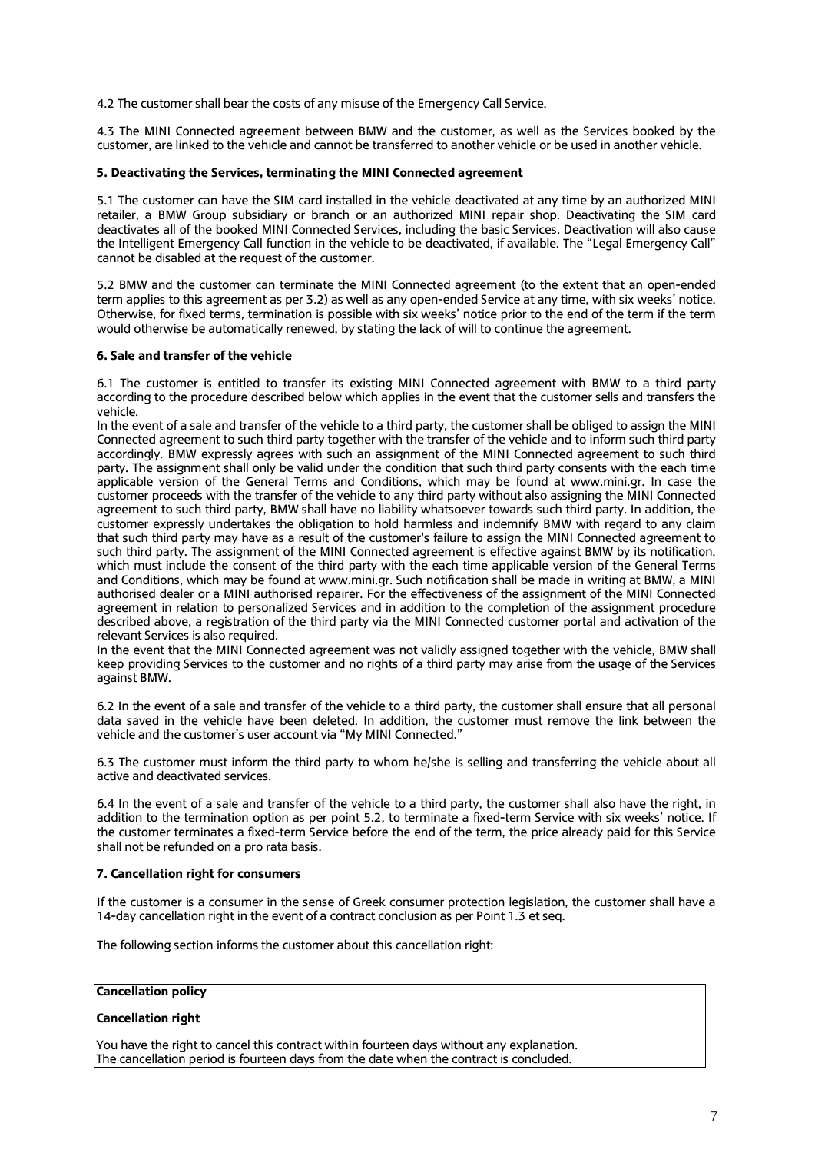4.2 The customer shall bear the costs of any misuse of the Emergency Call Service.

4.3 The MINI Connected agreement between BMW and the customer, as well as the Services booked by the customer, are linked to the vehicle and cannot be transferred to another vehicle or be used in another vehicle.

## **5. Deactivating the Services, terminating the MINI Connected agreement**

5.1 The customer can have the SIM card installed in the vehicle deactivated at any time by an authorized MINI retailer, a BMW Group subsidiary or branch or an authorized MINI repair shop. Deactivating the SIM card deactivates all of the booked MINI Connected Services, including the basic Services. Deactivation will also cause the Intelligent Emergency Call function in the vehicle to be deactivated, if available. The "Legal Emergency Call" cannot be disabled at the request of the customer.

5.2 BMW and the customer can terminate the MINI Connected agreement (to the extent that an open-ended term applies to this agreement as per 3.2) as well as any open-ended Service at any time, with six weeks' notice. Otherwise, for fixed terms, termination is possible with six weeks' notice prior to the end of the term if the term would otherwise be automatically renewed, by stating the lack of will to continue the agreement.

### **6. Sale and transfer of the vehicle**

6.1 The customer is entitled to transfer its existing MINI Connected agreement with BMW to a third party according to the procedure described below which applies in the event that the customer sells and transfers the vehicle.

In the event of a sale and transfer of the vehicle to a third party, the customer shall be obliged to assign the MINI Connected agreement to such third party together with the transfer of the vehicle and to inform such third party accordingly. BMW expressly agrees with such an assignment of the MINI Connected agreement to such third party. The assignment shall only be valid under the condition that such third party consents with the each time applicable version of the General Terms and Conditions, which may be found at www.mini.gr. In case the customer proceeds with the transfer of the vehicle to any third party without also assigning the MINI Connected agreement to such third party, BMW shall have no liability whatsoever towards such third party. In addition, the customer expressly undertakes the obligation to hold harmless and indemnify BMW with regard to any claim that such third party may have as a result of the customer's failure to assign the MINI Connected agreement to such third party. The assignment of the MINI Connected agreement is effective against BMW by its notification, which must include the consent of the third party with the each time applicable version of the General Terms and Conditions, which may be found at www.mini.gr. Such notification shall be made in writing at BMW, a MINI authorised dealer or a MINI authorised repairer. For the effectiveness of the assignment of the MINI Connected agreement in relation to personalized Services and in addition to the completion of the assignment procedure described above, a registration of the third party via the MINI Connected customer portal and activation of the relevant Services is also required.

In the event that the MINI Connected agreement was not validly assigned together with the vehicle, BMW shall keep providing Services to the customer and no rights of a third party may arise from the usage of the Services against BMW.

6.2 In the event of a sale and transfer of the vehicle to a third party, the customer shall ensure that all personal data saved in the vehicle have been deleted. In addition, the customer must remove the link between the vehicle and the customer's user account via "My MINI Connected."

6.3 The customer must inform the third party to whom he/she is selling and transferring the vehicle about all active and deactivated services.

6.4 In the event of a sale and transfer of the vehicle to a third party, the customer shall also have the right, in addition to the termination option as per point 5.2, to terminate a fixed-term Service with six weeks' notice. If the customer terminates a fixed-term Service before the end of the term, the price already paid for this Service shall not be refunded on a pro rata basis.

## **7. Cancellation right for consumers**

If the customer is a consumer in the sense of Greek consumer protection legislation, the customer shall have a 14-day cancellation right in the event of a contract conclusion as per Point 1.3 et seq.

The following section informs the customer about this cancellation right:

### **Cancellation policy**

### **Cancellation right**

You have the right to cancel this contract within fourteen days without any explanation. The cancellation period is fourteen days from the date when the contract is concluded.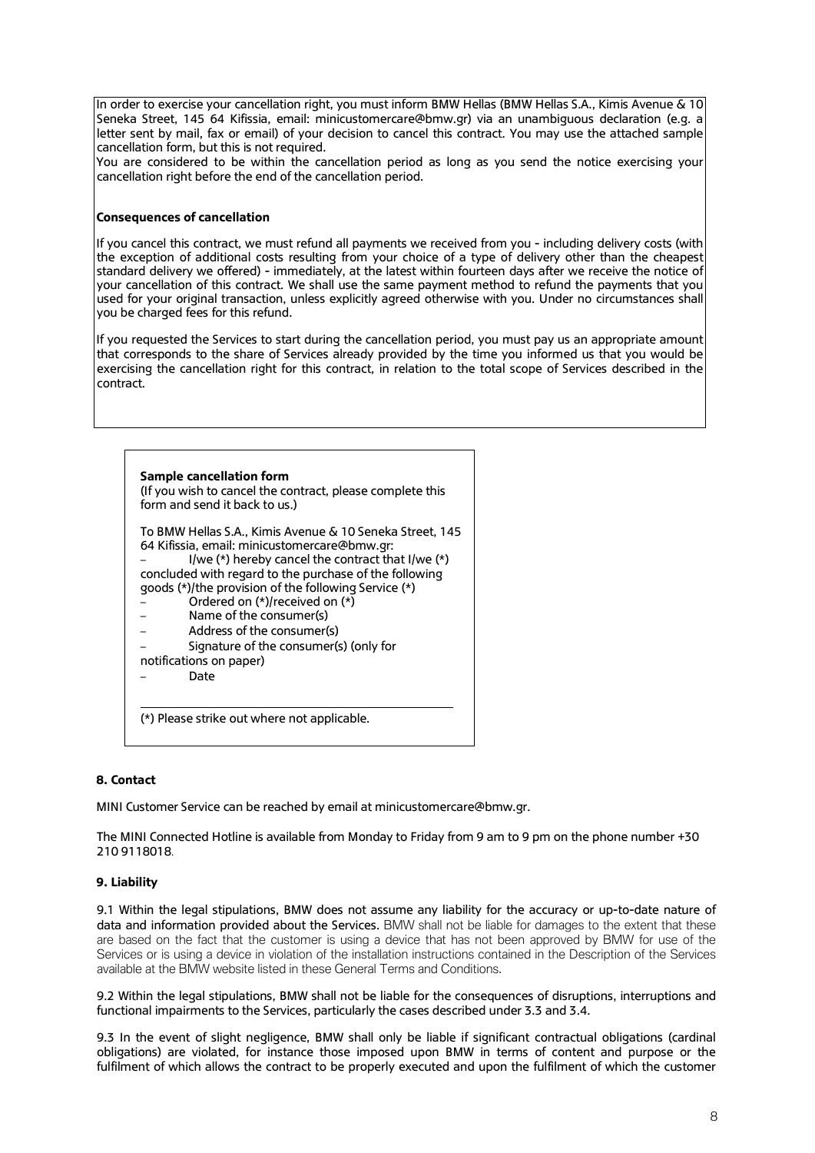In order to exercise your cancellation right, you must inform BMW Hellas (BMW Hellas S.A., Kimis Avenue & 10 Seneka Street, 145 64 Kifissia, email: [minicustomercare@bmw.gr\)](mailto:minicustomercare@bmw.gr) via an unambiguous declaration (e.g. a letter sent by mail, fax or email) of your decision to cancel this contract. You may use the attached sample cancellation form, but this is not required.

You are considered to be within the cancellation period as long as you send the notice exercising your cancellation right before the end of the cancellation period.

## **Consequences of cancellation**

If you cancel this contract, we must refund all payments we received from you - including delivery costs (with the exception of additional costs resulting from your choice of a type of delivery other than the cheapest standard delivery we offered) - immediately, at the latest within fourteen days after we receive the notice of your cancellation of this contract. We shall use the same payment method to refund the payments that you used for your original transaction, unless explicitly agreed otherwise with you. Under no circumstances shall you be charged fees for this refund.

If you requested the Services to start during the cancellation period, you must pay us an appropriate amount that corresponds to the share of Services already provided by the time you informed us that you would be exercising the cancellation right for this contract, in relation to the total scope of Services described in the contract.

| Sample cancellation form        | (If you wish to cancel the contract, please complete this<br>form and send it back to us.)                                                                                                                                                                                                                                                                                                                               |
|---------------------------------|--------------------------------------------------------------------------------------------------------------------------------------------------------------------------------------------------------------------------------------------------------------------------------------------------------------------------------------------------------------------------------------------------------------------------|
| notifications on paper)<br>Date | To BMW Hellas S.A., Kimis Avenue & 10 Seneka Street, 145<br>64 Kifissia, email: minicustomercare@bmw.gr:<br>I/we $(*)$ hereby cancel the contract that I/we $(*)$<br>concluded with regard to the purchase of the following<br>goods (*)/the provision of the following Service (*)<br>Ordered on (*)/received on (*)<br>Name of the consumer(s)<br>Address of the consumer(s)<br>Signature of the consumer(s) (only for |

### **8. Contact**

MINI Customer Service can be reached by email at [minicustomercare@bmw.gr.](mailto:minicustomercare@bmw.gr)

The MINI Connected Hotline is available from Monday to Friday from 9 am to 9 pm on the phone number +30 210 9118018.

### **9. Liability**

9.1 Within the legal stipulations, BMW does not assume any liability for the accuracy or up-to-date nature of data and information provided about the Services. BMW shall not be liable for damages to the extent that these are based on the fact that the customer is using a device that has not been approved by BMW for use of the Services or is using a device in violation of the installation instructions contained in the Description of the Services available at the BMW website listed in these General Terms and Conditions.

9.2 Within the legal stipulations, BMW shall not be liable for the consequences of disruptions, interruptions and functional impairments to the Services, particularly the cases described under 3.3 and 3.4.

9.3 In the event of slight negligence, BMW shall only be liable if significant contractual obligations (cardinal obligations) are violated, for instance those imposed upon BMW in terms of content and purpose or the fulfilment of which allows the contract to be properly executed and upon the fulfilment of which the customer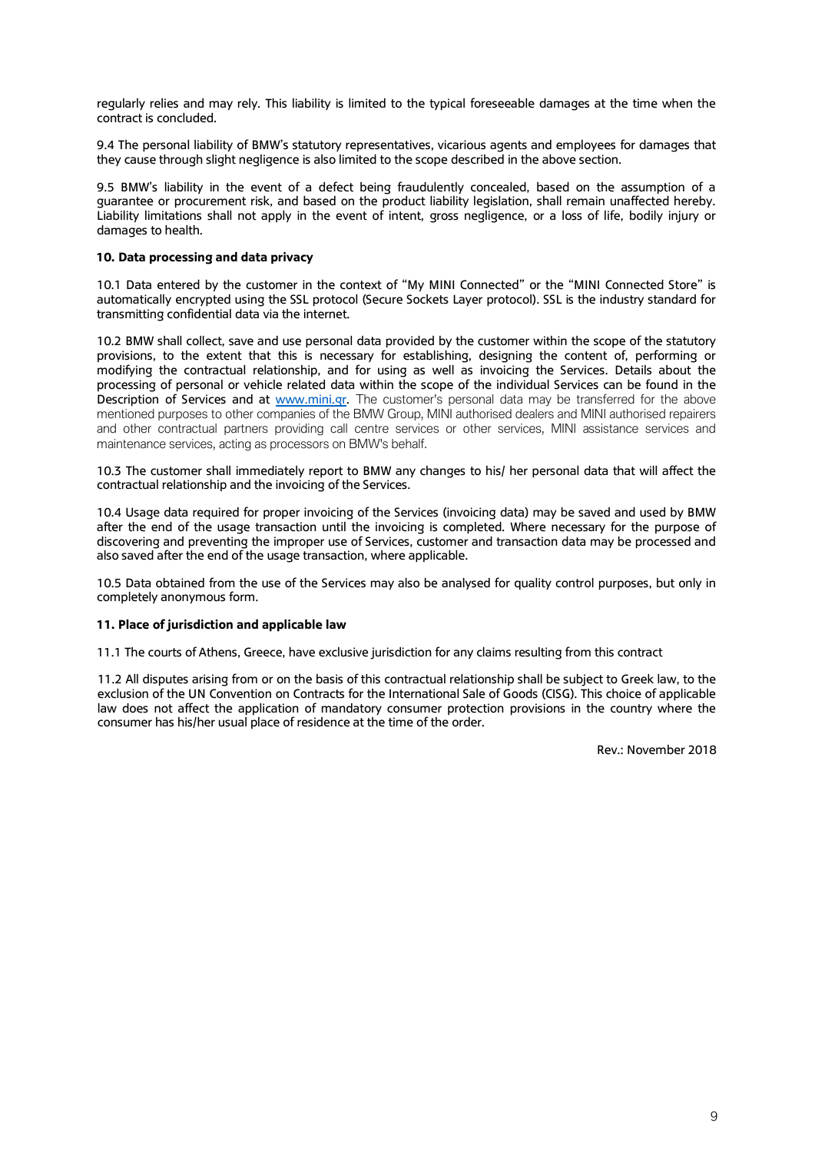regularly relies and may rely. This liability is limited to the typical foreseeable damages at the time when the contract is concluded.

9.4 The personal liability of BMW's statutory representatives, vicarious agents and employees for damages that they cause through slight negligence is also limited to the scope described in the above section.

9.5 BMW's liability in the event of a defect being fraudulently concealed, based on the assumption of a guarantee or procurement risk, and based on the product liability legislation, shall remain unaffected hereby. Liability limitations shall not apply in the event of intent, gross negligence, or a loss of life, bodily injury or damages to health.

## **10. Data processing and data privacy**

10.1 Data entered by the customer in the context of "My MINI Connected" or the "MINI Connected Store" is automatically encrypted using the SSL protocol (Secure Sockets Layer protocol). SSL is the industry standard for transmitting confidential data via the internet.

10.2 BMW shall collect, save and use personal data provided by the customer within the scope of the statutory provisions, to the extent that this is necessary for establishing, designing the content of, performing or modifying the contractual relationship, and for using as well as invoicing the Services. Details about the processing of personal or vehicle related data within the scope of the individual Services can be found in the Description of Services and at [www.mini.gr.](http://www.mini.gr/) The customer's personal data may be transferred for the above mentioned purposes to other companies of the BMW Group, MINI authorised dealers and MINI authorised repairers and other contractual partners providing call centre services or other services, MINI assistance services and maintenance services, acting as processors on BMW's behalf.

10.3 The customer shall immediately report to BMW any changes to his/ her personal data that will affect the contractual relationship and the invoicing of the Services.

10.4 Usage data required for proper invoicing of the Services (invoicing data) may be saved and used by BMW after the end of the usage transaction until the invoicing is completed. Where necessary for the purpose of discovering and preventing the improper use of Services, customer and transaction data may be processed and also saved after the end of the usage transaction, where applicable.

10.5 Data obtained from the use of the Services may also be analysed for quality control purposes, but only in completely anonymous form.

### **11. Place of jurisdiction and applicable law**

11.1 The courts of Athens, Greece, have exclusive jurisdiction for any claims resulting from this contract

11.2 All disputes arising from or on the basis of this contractual relationship shall be subject to Greek law, to the exclusion of the UN Convention on Contracts for the International Sale of Goods (CISG). This choice of applicable law does not affect the application of mandatory consumer protection provisions in the country where the consumer has his/her usual place of residence at the time of the order.

Rev.: November 2018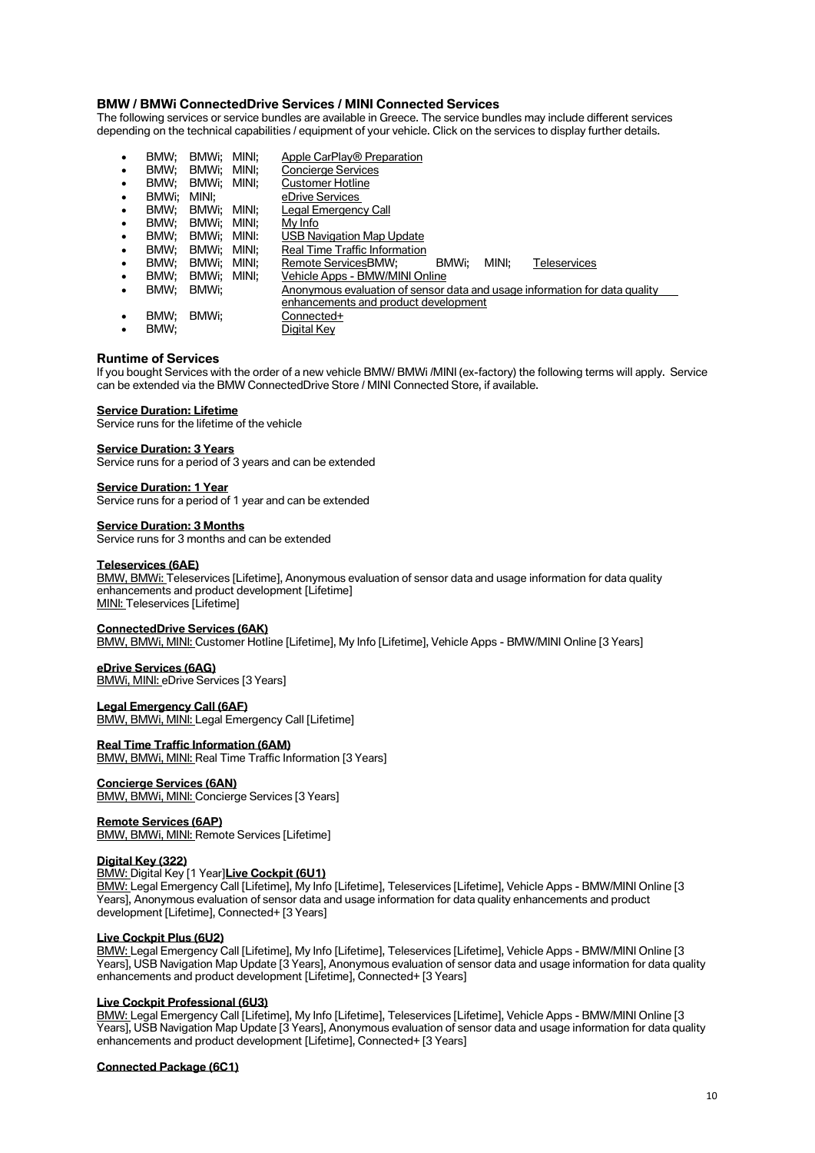### **BMW / BMWi ConnectedDrive Services / MINI Connected Services**

The following services or service bundles are available in Greece. The service bundles may include different services depending on the technical capabilities / equipment of your vehicle. Click on the services to display further details.

| ٠         | BMW:  | BMWi:       | MINI: | Apple CarPlay <sup>®</sup> Preparation                                     |
|-----------|-------|-------------|-------|----------------------------------------------------------------------------|
| $\bullet$ | BMW:  | BMWi:       | MINI: | <b>Concierge Services</b>                                                  |
| $\bullet$ | BMW:  | BMWi:       | MINI: | <b>Customer Hotline</b>                                                    |
| $\bullet$ | BMWi: | MINI:       |       | eDrive Services                                                            |
| $\bullet$ | BMW:  | BMWi: MINI: |       | Legal Emergency Call                                                       |
| $\bullet$ | BMW:  | BMWi:       | MINI: | My Info                                                                    |
| $\bullet$ | BMW:  | BMWi:       | MINI: | <b>USB Navigation Map Update</b>                                           |
| $\bullet$ | BMW:  | BMWi:       | MINI: | Real Time Traffic Information                                              |
| $\bullet$ | BMW:  | BMWi:       | MINI: | MINI:<br>Remote ServicesBMW:<br>BMWi:<br><b>Teleservices</b>               |
| $\bullet$ | BMW:  | BMWi:       | MINI: | Vehicle Apps - BMW/MINI Online                                             |
| $\bullet$ | BMW:  | BMWi:       |       | Anonymous evaluation of sensor data and usage information for data quality |
|           |       |             |       | enhancements and product development                                       |
| $\bullet$ | BMW:  | BMWi:       |       | Connected+                                                                 |
| ٠         | BMW:  |             |       | Digital Key                                                                |

#### **Runtime of Services**

If you bought Services with the order of a new vehicle BMW/ BMWi /MINI (ex-factory) the following terms will apply. Service can be extended via the BMW ConnectedDrive Store / MINI Connected Store, if available.

#### **Service Duration: Lifetime**

Service runs for the lifetime of the vehicle

#### **Service Duration: 3 Years**

Service runs for a period of 3 years and can be extended

#### **Service Duration: 1 Year**

Service runs for a period of 1 year and can be extended

#### **Service Duration: 3 Months**

Service runs for 3 months and can be extended

#### **Teleservices (6AE)**

*BMW, BMWi:* Teleservices [Lifetime], Anonymous evaluation of sensor data and usage information for data quality enhancements and product development [Lifetime] *MINI:* Teleservices [Lifetime]

# **ConnectedDrive Services (6AK)**

*BMW, BMWi, MINI:* Customer Hotline [Lifetime], My Info [Lifetime], Vehicle Apps - BMW/MINI Online [3 Years]

#### **eDrive Services (6AG)**

*BMWi, MINI:* eDrive Services [3 Years]

#### **Legal Emergency Call (6AF)**

*BMW, BMWi, MINI:* Legal Emergency Call [Lifetime]

#### **Real Time Traffic Information (6AM)**

*BMW, BMWi, MINI:* Real Time Traffic Information [3 Years]

### **Concierge Services (6AN)**

*BMW, BMWi, MINI:* Concierge Services [3 Years]

### **Remote Services (6AP)**

*BMW, BMWi, MINI:* Remote Services [Lifetime]

### **Digital Key (322)**

#### *BMW:* Digital Key [1 Year]**Live Cockpit (6U1)**

*BMW:* Legal Emergency Call [Lifetime], My Info [Lifetime], Teleservices [Lifetime], Vehicle Apps - BMW/MINI Online [3 Years], Anonymous evaluation of sensor data and usage information for data quality enhancements and product development [Lifetime], Connected+ [3 Years]

#### **Live Cockpit Plus (6U2)**

*BMW:* Legal Emergency Call [Lifetime], My Info [Lifetime], Teleservices [Lifetime], Vehicle Apps - BMW/MINI Online [3 Years], USB Navigation Map Update [3 Years], Anonymous evaluation of sensor data and usage information for data quality enhancements and product development [Lifetime], Connected+ [3 Years]

#### **Live Cockpit Professional (6U3)**

*BMW:* Legal Emergency Call [Lifetime], My Info [Lifetime], Teleservices [Lifetime], Vehicle Apps - BMW/MINI Online [3 Years], USB Navigation Map Update [3 Years], Anonymous evaluation of sensor data and usage information for data quality enhancements and product development [Lifetime], Connected+ [3 Years]

#### **Connected Package (6C1)**